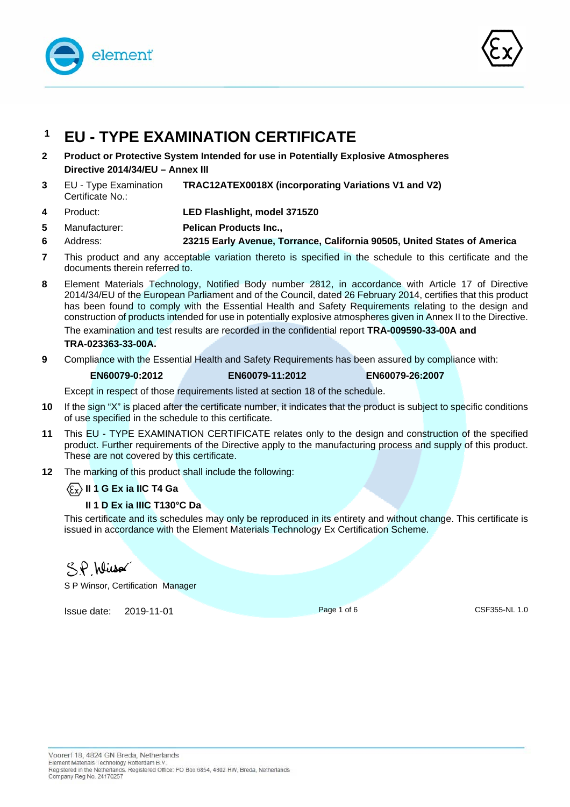



# **1 EU - TYPE EXAMINATION CERTIFICATE**

- **2 Product or Protective System Intended for use in Potentially Explosive Atmospheres Directive 2014/34/EU – Annex III**
- **3** EU Type Examination Certificate No.: **TRAC12ATEX0018X (incorporating Variations V1 and V2)**
- **4** Product: **LED Flashlight, model 3715Z0**
- **5**  Manufacturer: **Pelican Products Inc.,**
- **6**  Address: **23215 Early Avenue, Torrance, California 90505, United States of America**
- **7** This product and any acceptable variation thereto is specified in the schedule to this certificate and the documents therein referred to.
- **8** Element Materials Technology, Notified Body number 2812, in accordance with Article 17 of Directive 2014/34/EU of the European Parliament and of the Council, dated 26 February 2014, certifies that this product has been found to comply with the Essential Health and Safety Requirements relating to the design and construction of products intended for use in potentially explosive atmospheres given in Annex II to the Directive. The examination and test results are recorded in the confidential report **TRA-009590-33-00A and TRA-023363-33-00A.**
- **9** Compliance with the Essential Health and Safety Requirements has been assured by compliance with:

**EN60079-0:2012 EN60079-11:2012 EN60079-26:2007** 

Except in respect of those requirements listed at section 18 of the schedule.

- **10** If the sign "X" is placed after the certificate number, it indicates that the product is subject to specific conditions of use specified in the schedule to this certificate.
- **11** This EU TYPE EXAMINATION CERTIFICATE relates only to the design and construction of the specified product. Further requirements of the Directive apply to the manufacturing process and supply of this product. These are not covered by this certificate.
- **12** The marking of this product shall include the following:

**II 1 G Ex ia IIC T4 Ga** 

## **II 1 D Ex ia IIIC T130°C Da**

This certificate and its schedules may only be reproduced in its entirety and without change. This certificate is issued in accordance with the Element Materials Technology Ex Certification Scheme.

SP Wisso

S P Winsor, Certification Manager

**Issue date: 2019-11-01** Page 1 of 6 Page 1 of 6 CSF355-NL 1.0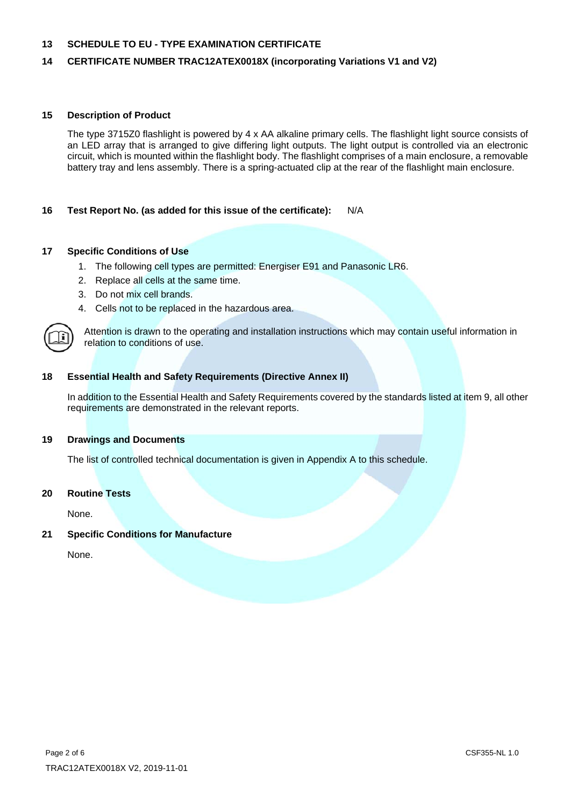## **14 CERTIFICATE NUMBER TRAC12ATEX0018X (incorporating Variations V1 and V2)**

#### **15 Description of Product**

 The type 3715Z0 flashlight is powered by 4 x AA alkaline primary cells. The flashlight light source consists of an LED array that is arranged to give differing light outputs. The light output is controlled via an electronic circuit, which is mounted within the flashlight body. The flashlight comprises of a main enclosure, a removable battery tray and lens assembly. There is a spring-actuated clip at the rear of the flashlight main enclosure.

#### **16 Test Report No. (as added for this issue of the certificate):** N/A

#### **17 Specific Conditions of Use**

- 1. The following cell types are permitted: Energiser E91 and Panasonic LR6.
- 2. Replace all cells at the same time.
- 3. Do not mix cell brands.
- 4. Cells not to be replaced in the hazardous area.



Attention is drawn to the operating and installation instructions which may contain useful information in relation to conditions of use.

#### **18 Essential Health and Safety Requirements (Directive Annex II)**

 In addition to the Essential Health and Safety Requirements covered by the standards listed at item 9, all other requirements are demonstrated in the relevant reports.

#### **19 Drawings and Documents**

The list of controlled technical documentation is given in Appendix A to this schedule.

#### **20 Routine Tests**

None.

#### **21 Specific Conditions for Manufacture**

None.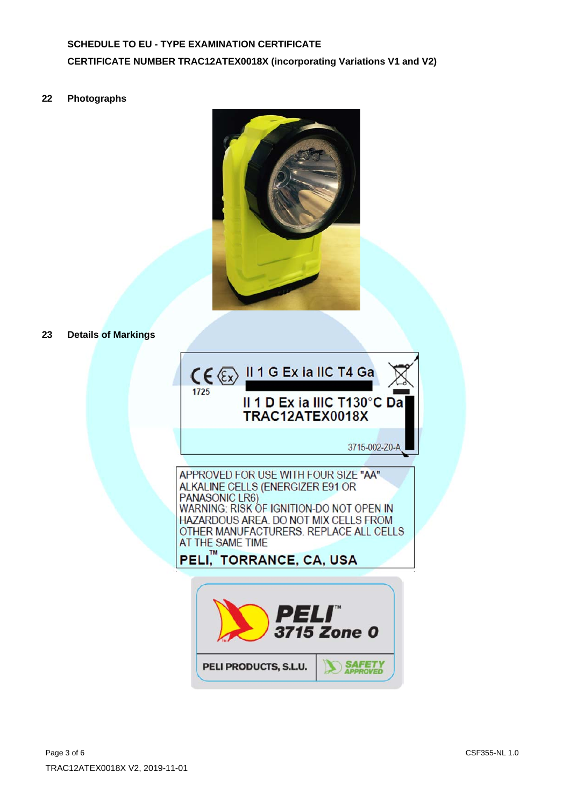## **SCHEDULE TO EU - TYPE EXAMINATION CERTIFICATE CERTIFICATE NUMBER TRAC12ATEX0018X (incorporating Variations V1 and V2)**

**22 Photographs** 



**23 Details of Markings** 

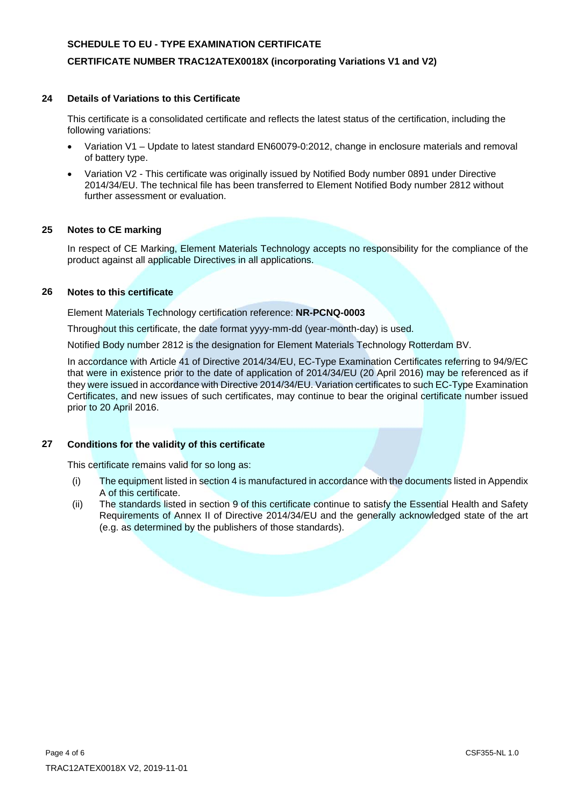## **CERTIFICATE NUMBER TRAC12ATEX0018X (incorporating Variations V1 and V2)**

#### **24 Details of Variations to this Certificate**

 This certificate is a consolidated certificate and reflects the latest status of the certification, including the following variations:

- Variation V1 Update to latest standard EN60079-0:2012, change in enclosure materials and removal of battery type.
- Variation V2 This certificate was originally issued by Notified Body number 0891 under Directive 2014/34/EU. The technical file has been transferred to Element Notified Body number 2812 without further assessment or evaluation.

### **25 Notes to CE marking**

In respect of CE Marking, Element Materials Technology accepts no responsibility for the compliance of the product against all applicable Directives in all applications.

### **26 Notes to this certificate**

Element Materials Technology certification reference: **NR-PCNQ-0003**

Throughout this certificate, the date format yyyy-mm-dd (year-month-day) is used.

Notified Body number 2812 is the designation for Element Materials Technology Rotterdam BV.

In accordance with Article 41 of Directive 2014/34/EU, EC-Type Examination Certificates referring to 94/9/EC that were in existence prior to the date of application of 2014/34/EU (20 April 2016) may be referenced as if they were issued in accordance with Directive 2014/34/EU. Variation certificates to such EC-Type Examination Certificates, and new issues of such certificates, may continue to bear the original certificate number issued prior to 20 April 2016.

#### **27 Conditions for the validity of this certificate**

This certificate remains valid for so long as:

- (i) The equipment listed in section 4 is manufactured in accordance with the documents listed in Appendix A of this certificate.
- (ii) The standards listed in section 9 of this certificate continue to satisfy the Essential Health and Safety Requirements of Annex II of Directive 2014/34/EU and the generally acknowledged state of the art (e.g. as determined by the publishers of those standards).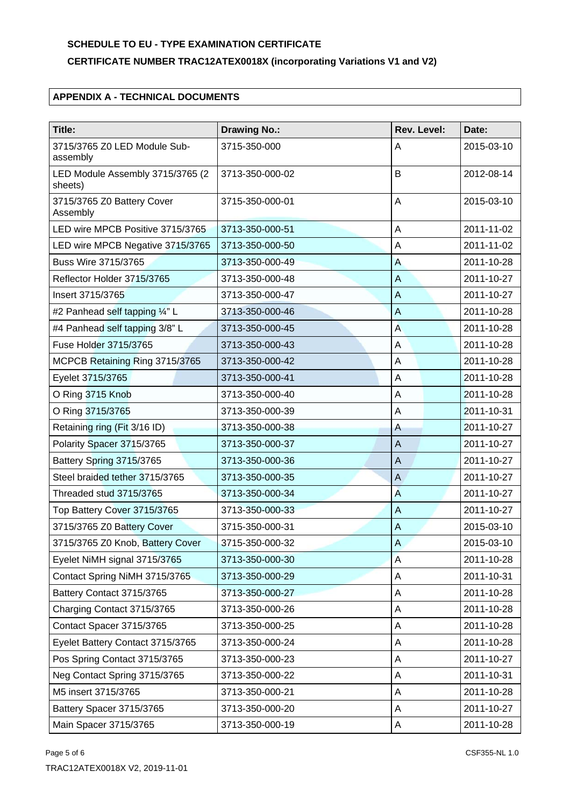## **CERTIFICATE NUMBER TRAC12ATEX0018X (incorporating Variations V1 and V2)**

## **APPENDIX A - TECHNICAL DOCUMENTS**

| Title:                                      | <b>Drawing No.:</b> | Rev. Level:    | Date:      |
|---------------------------------------------|---------------------|----------------|------------|
| 3715/3765 Z0 LED Module Sub-<br>assembly    | 3715-350-000        | A              | 2015-03-10 |
| LED Module Assembly 3715/3765 (2<br>sheets) | 3713-350-000-02     | B              | 2012-08-14 |
| 3715/3765 Z0 Battery Cover<br>Assembly      | 3715-350-000-01     | A              | 2015-03-10 |
| LED wire MPCB Positive 3715/3765            | 3713-350-000-51     | A              | 2011-11-02 |
| LED wire MPCB Negative 3715/3765            | 3713-350-000-50     | A              | 2011-11-02 |
| Buss Wire 3715/3765                         | 3713-350-000-49     | $\overline{A}$ | 2011-10-28 |
| Reflector Holder 3715/3765                  | 3713-350-000-48     | A              | 2011-10-27 |
| Insert 3715/3765                            | 3713-350-000-47     | A              | 2011-10-27 |
| #2 Panhead self tapping 1/4" L              | 3713-350-000-46     | $\overline{A}$ | 2011-10-28 |
| #4 Panhead self tapping 3/8" L              | 3713-350-000-45     | A              | 2011-10-28 |
| Fuse Holder 3715/3765                       | 3713-350-000-43     | A              | 2011-10-28 |
| MCPCB Retaining Ring 3715/3765              | 3713-350-000-42     | A              | 2011-10-28 |
| Eyelet 3715/3765                            | 3713-350-000-41     | A              | 2011-10-28 |
| O Ring 3715 Knob                            | 3713-350-000-40     | A              | 2011-10-28 |
| O Ring 3715/3765                            | 3713-350-000-39     | A              | 2011-10-31 |
| Retaining ring (Fit 3/16 ID)                | 3713-350-000-38     | $\overline{A}$ | 2011-10-27 |
| Polarity Spacer 3715/3765                   | 3713-350-000-37     | $\overline{A}$ | 2011-10-27 |
| Battery Spring 3715/3765                    | 3713-350-000-36     | $\overline{A}$ | 2011-10-27 |
| Steel braided tether 3715/3765              | 3713-350-000-35     | $\mathsf A$    | 2011-10-27 |
| Threaded stud 3715/3765                     | 3713-350-000-34     | A              | 2011-10-27 |
| Top Battery Cover 3715/3765                 | 3713-350-000-33     | A              | 2011-10-27 |
| 3715/3765 Z0 Battery Cover                  | 3715-350-000-31     | $\overline{A}$ | 2015-03-10 |
| 3715/3765 Z0 Knob, Battery Cover            | 3715-350-000-32     | A              | 2015-03-10 |
| Eyelet NiMH signal 3715/3765                | 3713-350-000-30     | $\overline{A}$ | 2011-10-28 |
| Contact Spring NiMH 3715/3765               | 3713-350-000-29     | A              | 2011-10-31 |
| Battery Contact 3715/3765                   | 3713-350-000-27     | A              | 2011-10-28 |
| Charging Contact 3715/3765                  | 3713-350-000-26     | Α              | 2011-10-28 |
| Contact Spacer 3715/3765                    | 3713-350-000-25     | A              | 2011-10-28 |
| Eyelet Battery Contact 3715/3765            | 3713-350-000-24     | A              | 2011-10-28 |
| Pos Spring Contact 3715/3765                | 3713-350-000-23     | A              | 2011-10-27 |
| Neg Contact Spring 3715/3765                | 3713-350-000-22     | Α              | 2011-10-31 |
| M5 insert 3715/3765                         | 3713-350-000-21     | A              | 2011-10-28 |
| Battery Spacer 3715/3765                    | 3713-350-000-20     | A              | 2011-10-27 |
| Main Spacer 3715/3765                       | 3713-350-000-19     | A              | 2011-10-28 |